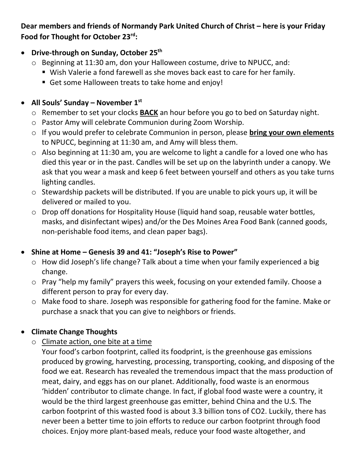#### Dear members and friends of Normandy Park United Church of Christ – here is your Friday **Food for Thought for October 23rd:**

#### • **Drive-through on Sunday, October 25th**

- o Beginning at 11:30 am, don your Halloween costume, drive to NPUCC, and:
	- Wish Valerie a fond farewell as she moves back east to care for her family.
	- Get some Halloween treats to take home and enjoy!

## • **All Souls' Sunday – November 1st**

- o Remember to set your clocks **BACK** an hour before you go to bed on Saturday night.
- o Pastor Amy will celebrate Communion during Zoom Worship.
- o If you would prefer to celebrate Communion in person, please **bring your own elements** to NPUCC, beginning at 11:30 am, and Amy will bless them.
- o Also beginning at 11:30 am, you are welcome to light a candle for a loved one who has died this year or in the past. Candles will be set up on the labyrinth under a canopy. We ask that you wear a mask and keep 6 feet between yourself and others as you take turns lighting candles.
- o Stewardship packets will be distributed. If you are unable to pick yours up, it will be delivered or mailed to you.
- o Drop off donations for Hospitality House (liquid hand soap, reusable water bottles, masks, and disinfectant wipes) and/or the Des Moines Area Food Bank (canned goods, non-perishable food items, and clean paper bags).

# • **Shine at Home – Genesis 39 and 41: "Joseph's Rise to Power"**

- o How did Joseph's life change? Talk about a time when your family experienced a big change.
- o Pray "help my family" prayers this week, focusing on your extended family. Choose a different person to pray for every day.
- o Make food to share. Joseph was responsible for gathering food for the famine. Make or purchase a snack that you can give to neighbors or friends.

# • **Climate Change Thoughts**

o Climate action, one bite at a time

Your food's carbon footprint, called its foodprint, is the greenhouse gas emissions produced by growing, harvesting, processing, transporting, cooking, and disposing of the food we eat. Research has revealed the tremendous impact that the mass production of meat, dairy, and eggs has on our planet. Additionally, food waste is an enormous 'hidden' contributor to climate change. In fact, if global food waste were a country, it would be the third largest greenhouse gas emitter, behind China and the U.S. The carbon footprint of this wasted food is about 3.3 billion tons of CO2. Luckily, there has never been a better time to join efforts to reduce our carbon footprint through food choices. Enjoy more plant-based meals, reduce your food waste altogether, and